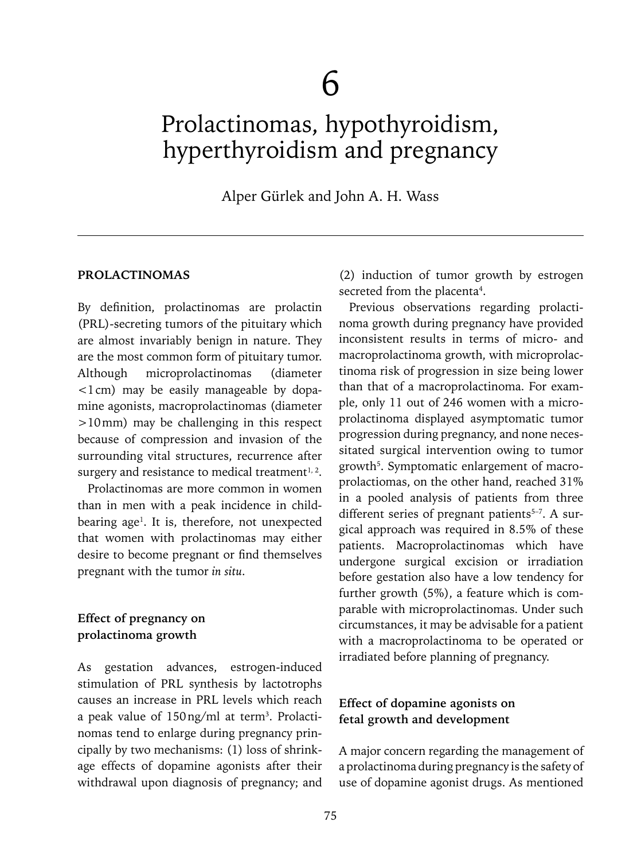# Prolactinomas, hypothyroidism, hyperthyroidism and pregnancy

Alper Gürlek and John A. H. Wass

#### **PROLACTINOMAS**

By definition, prolactinomas are prolactin (PRL)-secreting tumors of the pituitary which are almost invariably benign in nature. They are the most common form of pituitary tumor. Although microprolactinomas (diameter  $\leq 1$  cm) may be easily manageable by dopamine agonists, macroprolactinomas (diameter >10mm) may be challenging in this respect because of compression and invasion of the surrounding vital structures, recurrence after surgery and resistance to medical treatment $1, 2$ .

Prolactinomas are more common in women than in men with a peak incidence in childbearing age<sup>1</sup>. It is, therefore, not unexpected that women with prolactinomas may either desire to become pregnant or find themselves pregnant with the tumor *in situ*.

## **Effect of pregnancy on prolactinoma growth**

As gestation advances, estrogen-induced stimulation of PRL synthesis by lactotrophs causes an increase in PRL levels which reach a peak value of 150 ng/ml at term<sup>3</sup>. Prolactinomas tend to enlarge during pregnancy principally by two mechanisms: (1) loss of shrinkage effects of dopamine agonists after their withdrawal upon diagnosis of pregnancy; and (2) induction of tumor growth by estrogen secreted from the placenta<sup>4</sup>.

Previous observations regarding prolactinoma growth during pregnancy have provided inconsistent results in terms of micro- and macroprolactinoma growth, with microprolactinoma risk of progression in size being lower than that of a macroprolactinoma. For example, only 11 out of 246 women with a microprolactinoma displayed asymptomatic tumor progression during pregnancy, and none necessitated surgical intervention owing to tumor growth<sup>5</sup>. Symptomatic enlargement of macroprolactiomas, on the other hand, reached 31% in a pooled analysis of patients from three different series of pregnant patients<sup>5-7</sup>. A surgical approach was required in 8.5% of these patients. Macroprolactinomas which have undergone surgical excision or irradiation before gestation also have a low tendency for further growth (5%), a feature which is comparable with microprolactinomas. Under such circumstances, it may be advisable for a patient with a macroprolactinoma to be operated or irradiated before planning of pregnancy.

## **Effect of dopamine agonists on fetal growth and development**

A major concern regarding the management of a prolactinoma during pregnancy is the safety of use of dopamine agonist drugs. As mentioned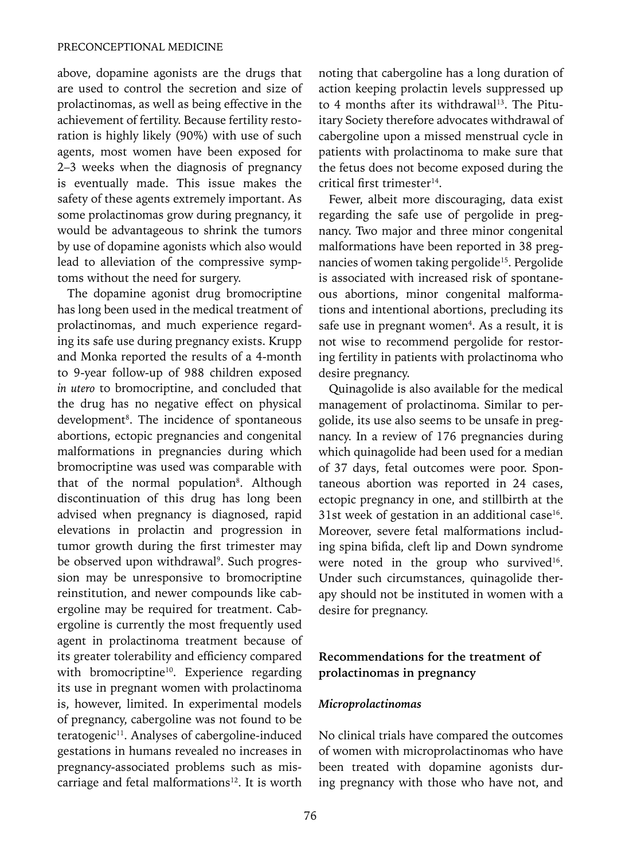above, dopamine agonists are the drugs that are used to control the secretion and size of prolactinomas, as well as being effective in the achievement of fertility. Because fertility restoration is highly likely (90%) with use of such agents, most women have been exposed for 2–3 weeks when the diagnosis of pregnancy is eventually made. This issue makes the safety of these agents extremely important. As some prolactinomas grow during pregnancy, it would be advantageous to shrink the tumors by use of dopamine agonists which also would lead to alleviation of the compressive symptoms without the need for surgery.

The dopamine agonist drug bromocriptine has long been used in the medical treatment of prolactinomas, and much experience regarding its safe use during pregnancy exists. Krupp and Monka reported the results of a 4-month to 9-year follow-up of 988 children exposed *in utero* to bromocriptine, and concluded that the drug has no negative effect on physical development<sup>8</sup>. The incidence of spontaneous abortions, ectopic pregnancies and congenital malformations in pregnancies during which bromocriptine was used was comparable with that of the normal population<sup>8</sup>. Although discontinuation of this drug has long been advised when pregnancy is diagnosed, rapid elevations in prolactin and progression in tumor growth during the first trimester may be observed upon withdrawal<sup>9</sup>. Such progression may be unresponsive to bromocriptine reinstitution, and newer compounds like cabergoline may be required for treatment. Cabergoline is currently the most frequently used agent in prolactinoma treatment because of its greater tolerability and efficiency compared with bromocriptine<sup>10</sup>. Experience regarding its use in pregnant women with prolactinoma is, however, limited. In experimental models of pregnancy, cabergoline was not found to be teratogenic<sup>11</sup>. Analyses of cabergoline-induced gestations in humans revealed no increases in pregnancy-associated problems such as miscarriage and fetal malformations<sup>12</sup>. It is worth

noting that cabergoline has a long duration of action keeping prolactin levels suppressed up to 4 months after its withdrawal<sup>13</sup>. The Pituitary Society therefore advocates withdrawal of cabergoline upon a missed menstrual cycle in patients with prolactinoma to make sure that the fetus does not become exposed during the critical first trimester<sup>14</sup>.

Fewer, albeit more discouraging, data exist regarding the safe use of pergolide in pregnancy. Two major and three minor congenital malformations have been reported in 38 pregnancies of women taking pergolide<sup>15</sup>. Pergolide is associated with increased risk of spontaneous abortions, minor congenital malformations and intentional abortions, precluding its safe use in pregnant women<sup>4</sup>. As a result, it is not wise to recommend pergolide for restoring fertility in patients with prolactinoma who desire pregnancy.

Quinagolide is also available for the medical management of prolactinoma. Similar to pergolide, its use also seems to be unsafe in pregnancy. In a review of 176 pregnancies during which quinagolide had been used for a median of 37 days, fetal outcomes were poor. Spontaneous abortion was reported in 24 cases, ectopic pregnancy in one, and stillbirth at the 31st week of gestation in an additional case $16$ . Moreover, severe fetal malformations including spina bifida, cleft lip and Down syndrome were noted in the group who survived<sup>16</sup>. Under such circumstances, quinagolide therapy should not be instituted in women with a desire for pregnancy.

# **Recommendations for the treatment of prolactinomas in pregnancy**

#### *Microprolactinomas*

No clinical trials have compared the outcomes of women with microprolactinomas who have been treated with dopamine agonists during pregnancy with those who have not, and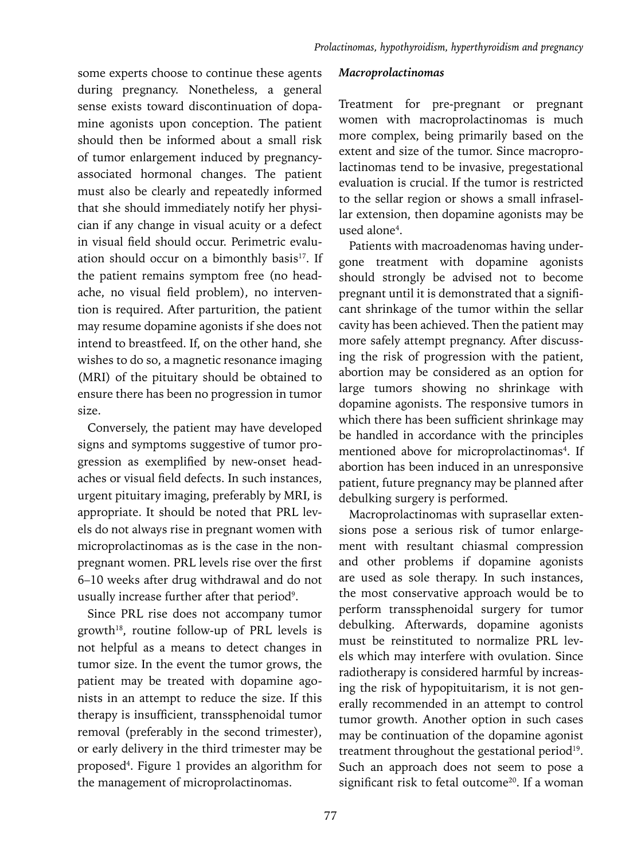some experts choose to continue these agents during pregnancy. Nonetheless, a general sense exists toward discontinuation of dopamine agonists upon conception. The patient should then be informed about a small risk of tumor enlargement induced by pregnancyassociated hormonal changes. The patient must also be clearly and repeatedly informed that she should immediately notify her physician if any change in visual acuity or a defect in visual field should occur. Perimetric evaluation should occur on a bimonthly basis<sup>17</sup>. If the patient remains symptom free (no headache, no visual field problem), no intervention is required. After parturition, the patient may resume dopamine agonists if she does not intend to breastfeed. If, on the other hand, she wishes to do so, a magnetic resonance imaging (MRI) of the pituitary should be obtained to ensure there has been no progression in tumor size.

Conversely, the patient may have developed signs and symptoms suggestive of tumor progression as exemplified by new-onset headaches or visual field defects. In such instances, urgent pituitary imaging, preferably by MRI, is appropriate. It should be noted that PRL levels do not always rise in pregnant women with microprolactinomas as is the case in the nonpregnant women. PRL levels rise over the first 6–10 weeks after drug withdrawal and do not usually increase further after that period<sup>9</sup>.

Since PRL rise does not accompany tumor growth<sup>18</sup>, routine follow-up of PRL levels is not helpful as a means to detect changes in tumor size. In the event the tumor grows, the patient may be treated with dopamine agonists in an attempt to reduce the size. If this therapy is insufficient, transsphenoidal tumor removal (preferably in the second trimester), or early delivery in the third trimester may be proposed4 . Figure 1 provides an algorithm for the management of microprolactinomas.

## *Macroprolactinomas*

Treatment for pre-pregnant or pregnant women with macroprolactinomas is much more complex, being primarily based on the extent and size of the tumor. Since macroprolactinomas tend to be invasive, pregestational evaluation is crucial. If the tumor is restricted to the sellar region or shows a small infrasellar extension, then dopamine agonists may be used alone<sup>4</sup>.

Patients with macroadenomas having undergone treatment with dopamine agonists should strongly be advised not to become pregnant until it is demonstrated that a significant shrinkage of the tumor within the sellar cavity has been achieved. Then the patient may more safely attempt pregnancy. After discussing the risk of progression with the patient, abortion may be considered as an option for large tumors showing no shrinkage with dopamine agonists. The responsive tumors in which there has been sufficient shrinkage may be handled in accordance with the principles mentioned above for microprolactinomas<sup>4</sup>. If abortion has been induced in an unresponsive patient, future pregnancy may be planned after debulking surgery is performed.

Macroprolactinomas with suprasellar extensions pose a serious risk of tumor enlargement with resultant chiasmal compression and other problems if dopamine agonists are used as sole therapy. In such instances, the most conservative approach would be to perform transsphenoidal surgery for tumor debulking. Afterwards, dopamine agonists must be reinstituted to normalize PRL levels which may interfere with ovulation. Since radiotherapy is considered harmful by increasing the risk of hypopituitarism, it is not generally recommended in an attempt to control tumor growth. Another option in such cases may be continuation of the dopamine agonist treatment throughout the gestational period<sup>19</sup>. Such an approach does not seem to pose a significant risk to fetal outcome<sup>20</sup>. If a woman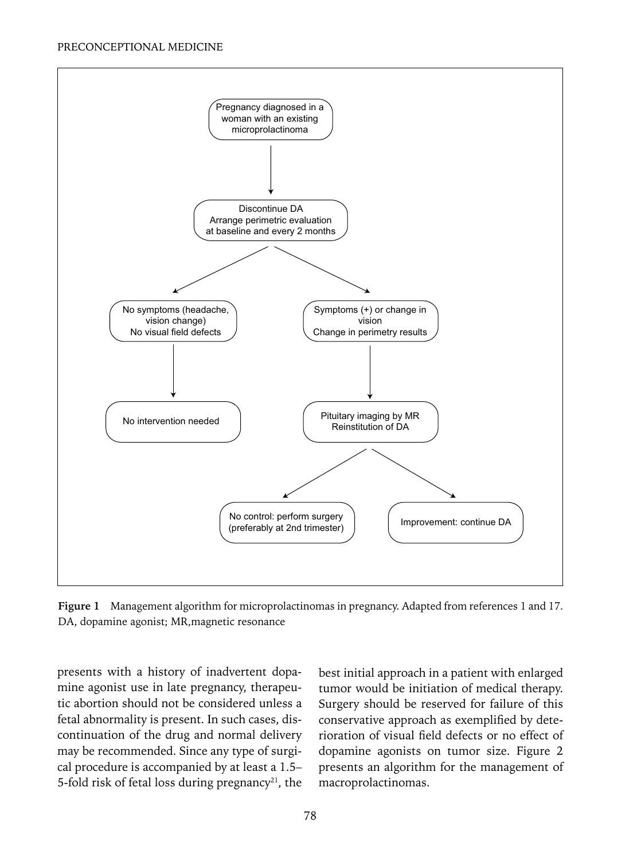

**Figure 1** Management algorithm for microprolactinomas in pregnancy. Adapted from references 1 and 17. DA, dopamine agonist; MR,magnetic resonance

presents with a history of inadvertent dopamine agonist use in late pregnancy, therapeutic abortion should not be considered unless a fetal abnormality is present. In such cases, discontinuation of the drug and normal delivery may be recommended. Since any type of surgical procedure is accompanied by at least a 1.5– 5-fold risk of fetal loss during pregnancy<sup>21</sup>, the best initial approach in a patient with enlarged tumor would be initiation of medical therapy. Surgery should be reserved for failure of this conservative approach as exemplified by deterioration of visual field defects or no effect of dopamine agonists on tumor size. Figure 2 presents an algorithm for the management of macroprolactinomas.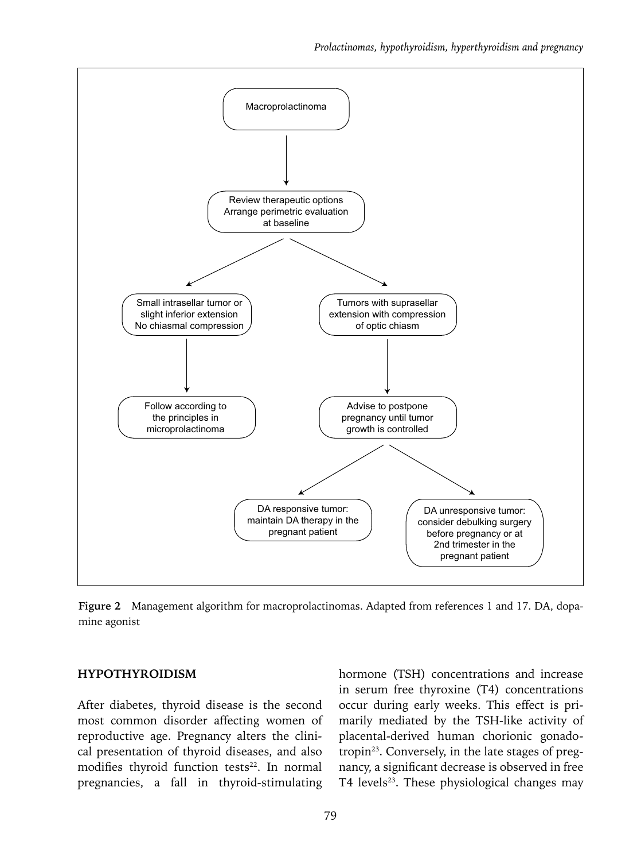

**Figure 2** Management algorithm for macroprolactinomas. Adapted from references 1 and 17. DA, dopamine agonist

#### **HYPOTHYROIDISM**

After diabetes, thyroid disease is the second most common disorder affecting women of reproductive age. Pregnancy alters the clinical presentation of thyroid diseases, and also modifies thyroid function tests<sup>22</sup>. In normal pregnancies, a fall in thyroid-stimulating

hormone (TSH) concentrations and increase in serum free thyroxine (T4) concentrations occur during early weeks. This effect is primarily mediated by the TSH-like activity of placental-derived human chorionic gonadotropin<sup>23</sup>. Conversely, in the late stages of pregnancy, a significant decrease is observed in free  $T4$  levels<sup>23</sup>. These physiological changes may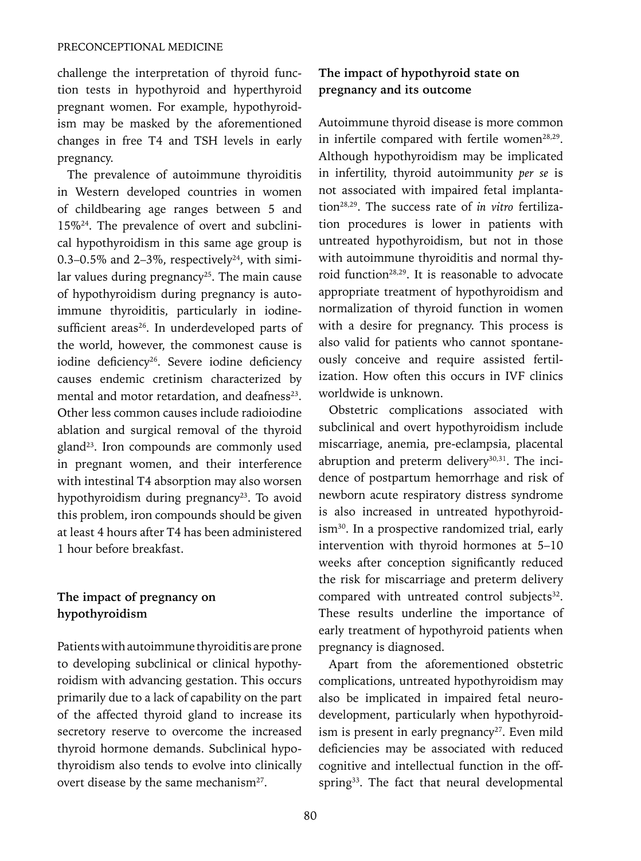challenge the interpretation of thyroid function tests in hypothyroid and hyperthyroid pregnant women. For example, hypothyroidism may be masked by the aforementioned changes in free T4 and TSH levels in early pregnancy.

The prevalence of autoimmune thyroiditis in Western developed countries in women of childbearing age ranges between 5 and 15%24. The prevalence of overt and subclinical hypothyroidism in this same age group is 0.3–0.5% and 2–3%, respectively<sup>24</sup>, with similar values during pregnancy<sup>25</sup>. The main cause of hypothyroidism during pregnancy is autoimmune thyroiditis, particularly in iodinesufficient areas<sup>26</sup>. In underdeveloped parts of the world, however, the commonest cause is iodine deficiency<sup>26</sup>. Severe iodine deficiency causes endemic cretinism characterized by mental and motor retardation, and deafness<sup>23</sup>. Other less common causes include radioiodine ablation and surgical removal of the thyroid gland<sup>23</sup>. Iron compounds are commonly used in pregnant women, and their interference with intestinal T4 absorption may also worsen hypothyroidism during pregnancy<sup>23</sup>. To avoid this problem, iron compounds should be given at least 4 hours after T4 has been administered 1 hour before breakfast.

# **The impact of pregnancy on hypothyroidism**

Patients with autoimmune thyroiditis are prone to developing subclinical or clinical hypothyroidism with advancing gestation. This occurs primarily due to a lack of capability on the part of the affected thyroid gland to increase its secretory reserve to overcome the increased thyroid hormone demands. Subclinical hypothyroidism also tends to evolve into clinically overt disease by the same mechanism<sup>27</sup>.

# **The impact of hypothyroid state on pregnancy and its outcome**

Autoimmune thyroid disease is more common in infertile compared with fertile women<sup>28,29</sup>. Although hypothyroidism may be implicated in infertility, thyroid autoimmunity *per se* is not associated with impaired fetal implantation28,29. The success rate of *in vitro* fertilization procedures is lower in patients with untreated hypothyroidism, but not in those with autoimmune thyroiditis and normal thyroid function<sup>28,29</sup>. It is reasonable to advocate appropriate treatment of hypothyroidism and normalization of thyroid function in women with a desire for pregnancy. This process is also valid for patients who cannot spontaneously conceive and require assisted fertilization. How often this occurs in IVF clinics worldwide is unknown.

Obstetric complications associated with subclinical and overt hypothyroidism include miscarriage, anemia, pre-eclampsia, placental abruption and preterm delivery<sup>30,31</sup>. The incidence of postpartum hemorrhage and risk of newborn acute respiratory distress syndrome is also increased in untreated hypothyroidism30. In a prospective randomized trial, early intervention with thyroid hormones at 5–10 weeks after conception significantly reduced the risk for miscarriage and preterm delivery compared with untreated control subjects<sup>32</sup>. These results underline the importance of early treatment of hypothyroid patients when pregnancy is diagnosed.

Apart from the aforementioned obstetric complications, untreated hypothyroidism may also be implicated in impaired fetal neurodevelopment, particularly when hypothyroidism is present in early pregnancy $27$ . Even mild deficiencies may be associated with reduced cognitive and intellectual function in the offspring<sup>33</sup>. The fact that neural developmental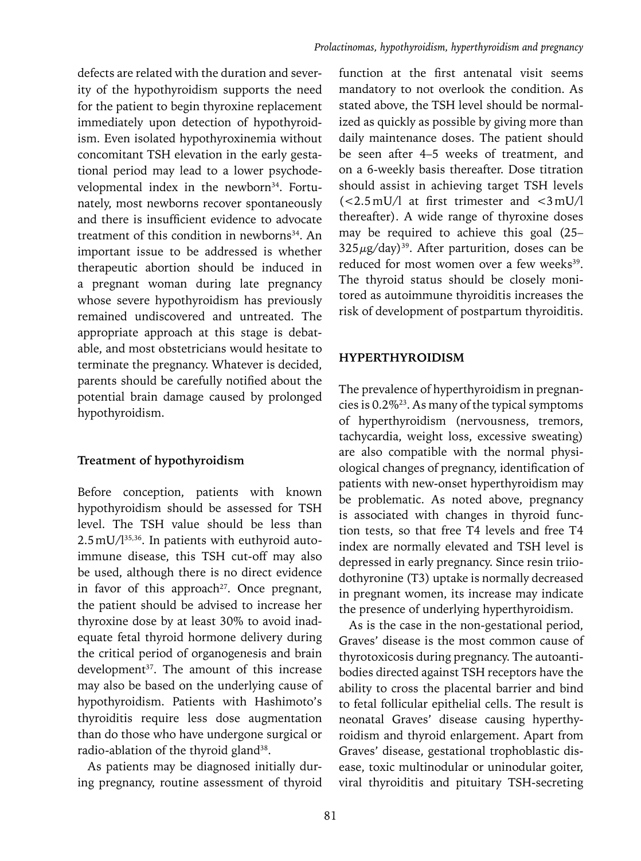defects are related with the duration and severity of the hypothyroidism supports the need for the patient to begin thyroxine replacement immediately upon detection of hypothyroidism. Even isolated hypothyroxinemia without concomitant TSH elevation in the early gestational period may lead to a lower psychodevelopmental index in the newborn<sup>34</sup>. Fortunately, most newborns recover spontaneously and there is insufficient evidence to advocate treatment of this condition in newborns<sup>34</sup>. An important issue to be addressed is whether therapeutic abortion should be induced in a pregnant woman during late pregnancy whose severe hypothyroidism has previously remained undiscovered and untreated. The appropriate approach at this stage is debatable, and most obstetricians would hesitate to terminate the pregnancy. Whatever is decided, parents should be carefully notified about the potential brain damage caused by prolonged hypothyroidism.

## **Treatment of hypothyroidism**

Before conception, patients with known hypothyroidism should be assessed for TSH level. The TSH value should be less than 2.5mU/l35,36. In patients with euthyroid autoimmune disease, this TSH cut-off may also be used, although there is no direct evidence in favor of this approach<sup>27</sup>. Once pregnant, the patient should be advised to increase her thyroxine dose by at least 30% to avoid inadequate fetal thyroid hormone delivery during the critical period of organogenesis and brain development<sup>37</sup>. The amount of this increase may also be based on the underlying cause of hypothyroidism. Patients with Hashimoto's thyroiditis require less dose augmentation than do those who have undergone surgical or radio-ablation of the thyroid gland<sup>38</sup>.

As patients may be diagnosed initially during pregnancy, routine assessment of thyroid

function at the first antenatal visit seems mandatory to not overlook the condition. As stated above, the TSH level should be normalized as quickly as possible by giving more than daily maintenance doses. The patient should be seen after 4–5 weeks of treatment, and on a 6-weekly basis thereafter. Dose titration should assist in achieving target TSH levels (<2.5mU/l at first trimester and <3mU/l thereafter). A wide range of thyroxine doses may be required to achieve this goal (25–  $325 \mu g/day$ )<sup>39</sup>. After parturition, doses can be reduced for most women over a few weeks<sup>39</sup>. The thyroid status should be closely monitored as autoimmune thyroiditis increases the risk of development of postpartum thyroiditis.

## **HYPERTHYROIDISM**

The prevalence of hyperthyroidism in pregnancies is 0.2%23. As many of the typical symptoms of hyperthyroidism (nervousness, tremors, tachycardia, weight loss, excessive sweating) are also compatible with the normal physiological changes of pregnancy, identification of patients with new-onset hyperthyroidism may be problematic. As noted above, pregnancy is associated with changes in thyroid function tests, so that free T4 levels and free T4 index are normally elevated and TSH level is depressed in early pregnancy. Since resin triiodothyronine (T3) uptake is normally decreased in pregnant women, its increase may indicate the presence of underlying hyperthyroidism.

As is the case in the non-gestational period, Graves' disease is the most common cause of thyrotoxicosis during pregnancy. The autoantibodies directed against TSH receptors have the ability to cross the placental barrier and bind to fetal follicular epithelial cells. The result is neonatal Graves' disease causing hyperthyroidism and thyroid enlargement. Apart from Graves' disease, gestational trophoblastic disease, toxic multinodular or uninodular goiter, viral thyroiditis and pituitary TSH-secreting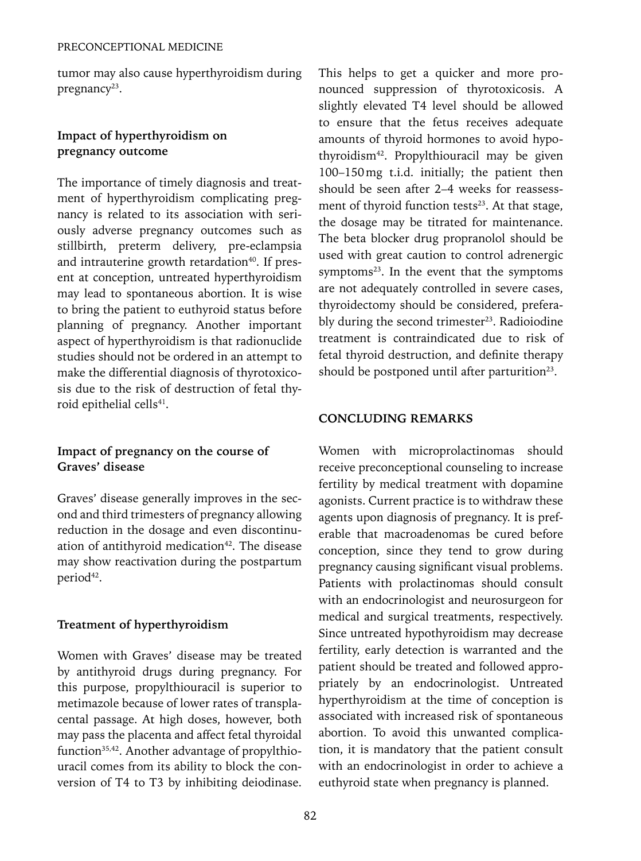tumor may also cause hyperthyroidism during pregnancy $23$ .

# **Impact of hyperthyroidism on pregnancy outcome**

The importance of timely diagnosis and treatment of hyperthyroidism complicating pregnancy is related to its association with seriously adverse pregnancy outcomes such as stillbirth, preterm delivery, pre-eclampsia and intrauterine growth retardation<sup>40</sup>. If present at conception, untreated hyperthyroidism may lead to spontaneous abortion. It is wise to bring the patient to euthyroid status before planning of pregnancy. Another important aspect of hyperthyroidism is that radionuclide studies should not be ordered in an attempt to make the differential diagnosis of thyrotoxicosis due to the risk of destruction of fetal thyroid epithelial cells<sup>41</sup>.

## **Impact of pregnancy on the course of Graves' disease**

Graves' disease generally improves in the second and third trimesters of pregnancy allowing reduction in the dosage and even discontinuation of antithyroid medication<sup>42</sup>. The disease may show reactivation during the postpartum period<sup>42</sup>.

# **Treatment of hyperthyroidism**

Women with Graves' disease may be treated by antithyroid drugs during pregnancy. For this purpose, propylthiouracil is superior to metimazole because of lower rates of transplacental passage. At high doses, however, both may pass the placenta and affect fetal thyroidal function<sup>35,42</sup>. Another advantage of propylthiouracil comes from its ability to block the conversion of T4 to T3 by inhibiting deiodinase. This helps to get a quicker and more pronounced suppression of thyrotoxicosis. A slightly elevated T4 level should be allowed to ensure that the fetus receives adequate amounts of thyroid hormones to avoid hypothyroidism42. Propylthiouracil may be given 100–150mg t.i.d. initially; the patient then should be seen after 2–4 weeks for reassessment of thyroid function tests $23$ . At that stage, the dosage may be titrated for maintenance. The beta blocker drug propranolol should be used with great caution to control adrenergic symptoms $23$ . In the event that the symptoms are not adequately controlled in severe cases, thyroidectomy should be considered, preferably during the second trimester<sup>23</sup>. Radioiodine treatment is contraindicated due to risk of fetal thyroid destruction, and definite therapy should be postponed until after parturition<sup>23</sup>.

## **Concluding remarks**

Women with microprolactinomas should receive preconceptional counseling to increase fertility by medical treatment with dopamine agonists. Current practice is to withdraw these agents upon diagnosis of pregnancy. It is preferable that macroadenomas be cured before conception, since they tend to grow during pregnancy causing significant visual problems. Patients with prolactinomas should consult with an endocrinologist and neurosurgeon for medical and surgical treatments, respectively. Since untreated hypothyroidism may decrease fertility, early detection is warranted and the patient should be treated and followed appropriately by an endocrinologist. Untreated hyperthyroidism at the time of conception is associated with increased risk of spontaneous abortion. To avoid this unwanted complication, it is mandatory that the patient consult with an endocrinologist in order to achieve a euthyroid state when pregnancy is planned.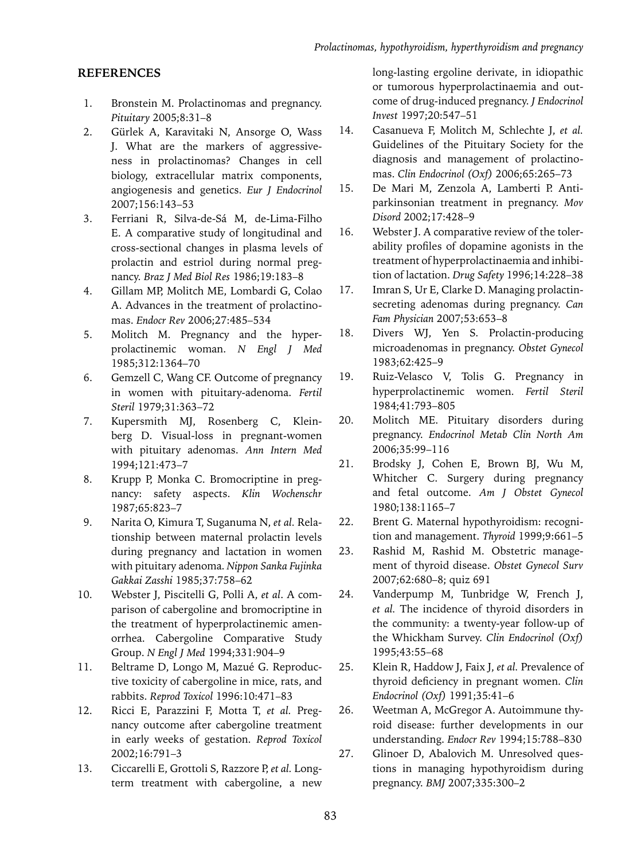## **References**

- 1. Bronstein M. Prolactinomas and pregnancy. *Pituitary* 2005;8:31–8
- 2. Gürlek A, Karavitaki N, Ansorge O, Wass J. What are the markers of aggressiveness in prolactinomas? Changes in cell biology, extracellular matrix components, angiogenesis and genetics. *Eur J Endocrinol*  2007;156:143–53
- 3. Ferriani R, Silva-de-Sá M, de-Lima-Filho E. A comparative study of longitudinal and cross-sectional changes in plasma levels of prolactin and estriol during normal pregnancy. *Braz J Med Biol Res* 1986;19:183–8
- 4. Gillam MP, Molitch ME, Lombardi G, Colao A. Advances in the treatment of prolactinomas. *Endocr Rev* 2006;27:485–534
- 5. Molitch M. Pregnancy and the hyperprolactinemic woman. *N Engl J Med*  1985;312:1364–70
- 6. Gemzell C, Wang CF. Outcome of pregnancy in women with pituitary-adenoma. *Fertil Steril* 1979;31:363–72
- 7. Kupersmith MJ, Rosenberg C, Kleinberg D. Visual-loss in pregnant-women with pituitary adenomas. *Ann Intern Med* 1994;121:473–7
- 8. Krupp P, Monka C. Bromocriptine in pregnancy: safety aspects. *Klin Wochenschr*  1987;65:823–7
- 9. Narita O, Kimura T, Suganuma N, *et al.* Relationship between maternal prolactin levels during pregnancy and lactation in women with pituitary adenoma. *Nippon Sanka Fujinka Gakkai Zasshi* 1985;37:758–62
- 10. Webster J, Piscitelli G, Polli A, *et al*. A comparison of cabergoline and bromocriptine in the treatment of hyperprolactinemic amenorrhea. Cabergoline Comparative Study Group. *N Engl J Med* 1994;331:904–9
- 11. Beltrame D, Longo M, Mazué G. Reproductive toxicity of cabergoline in mice, rats, and rabbits. *Reprod Toxicol* 1996:10:471–83
- 12. Ricci E, Parazzini F, Motta T, *et al.* Pregnancy outcome after cabergoline treatment in early weeks of gestation. *Reprod Toxicol*  2002;16:791–3
- 13. Ciccarelli E, Grottoli S, Razzore P, *et al.* Longterm treatment with cabergoline, a new

long-lasting ergoline derivate, in idiopathic or tumorous hyperprolactinaemia and outcome of drug-induced pregnancy. *J Endocrinol Invest* 1997;20:547–51

- 14. Casanueva F, Molitch M, Schlechte J, *et al.*  Guidelines of the Pituitary Society for the diagnosis and management of prolactinomas. *Clin Endocrinol (Oxf)* 2006;65:265–73
- 15. De Mari M, Zenzola A, Lamberti P. Antiparkinsonian treatment in pregnancy. *Mov Disord* 2002;17:428–9
- 16. Webster J. A comparative review of the tolerability profiles of dopamine agonists in the treatment of hyperprolactinaemia and inhibition of lactation. *Drug Safety* 1996;14:228–38
- 17. Imran S, Ur E, Clarke D. Managing prolactinsecreting adenomas during pregnancy. *Can Fam Physician* 2007;53:653–8
- 18. Divers WJ, Yen S. Prolactin-producing microadenomas in pregnancy. *Obstet Gynecol*  1983;62:425–9
- 19. Ruiz-Velasco V, Tolis G. Pregnancy in hyperprolactinemic women. *Fertil Steril*  1984;41:793–805
- 20. Molitch ME. Pituitary disorders during pregnancy. *Endocrinol Metab Clin North Am* 2006;35:99–116
- 21. Brodsky J, Cohen E, Brown BJ, Wu M, Whitcher C. Surgery during pregnancy and fetal outcome. *Am J Obstet Gynecol*  1980;138:1165–7
- 22. Brent G. Maternal hypothyroidism: recognition and management. *Thyroid* 1999;9:661–5
- 23. Rashid M, Rashid M. Obstetric management of thyroid disease. *Obstet Gynecol Surv*  2007;62:680–8; quiz 691
- 24. Vanderpump M, Tunbridge W, French J, *et al.* The incidence of thyroid disorders in the community: a twenty-year follow-up of the Whickham Survey. *Clin Endocrinol (Oxf)* 1995;43:55–68
- 25. Klein R, Haddow J, Faix J, *et al.* Prevalence of thyroid deficiency in pregnant women. *Clin Endocrinol (Oxf)* 1991;35:41–6
- 26. Weetman A, McGregor A. Autoimmune thyroid disease: further developments in our understanding. *Endocr Rev* 1994;15:788–830
- 27. Glinoer D, Abalovich M. Unresolved questions in managing hypothyroidism during pregnancy. *BMJ* 2007;335:300–2